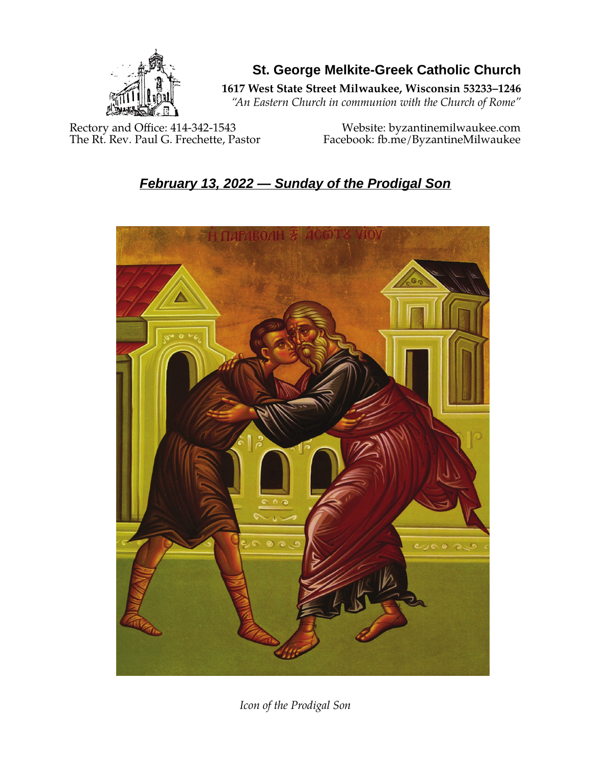

**St. George Melkite-Greek Catholic Church**

**1617 West State Street Milwaukee, Wisconsin 53233–1246**

*"An Eastern Church in communion with the Church of Rome"*

Rectory and Office: 414-342-1543 Website: [byzantinemilwaukee.com](https://byzantinemilwaukee.com/)

The Rt. Rev. Paul G. Frechette, Pastor Facebook: fb.me/ByzantineMilwaukee

# *February 13, 2022 — Sunday of the Prodigal Son*



*Icon of the Prodigal Son*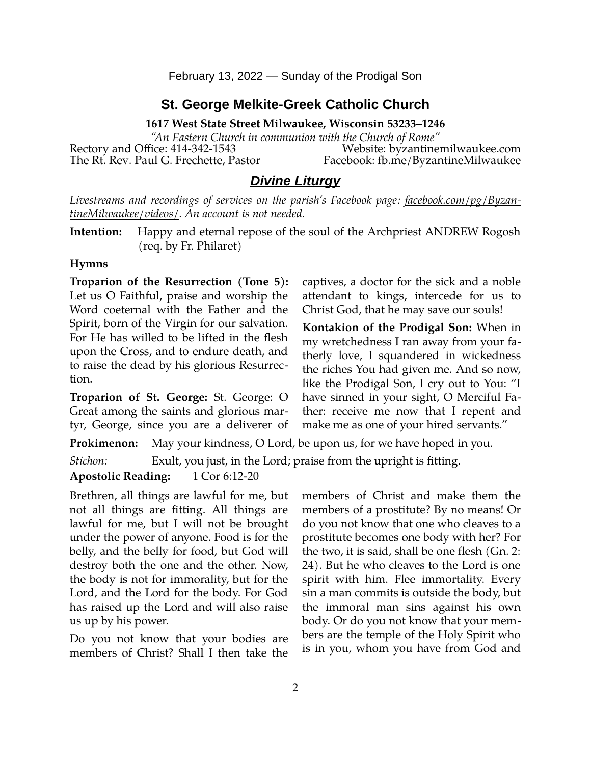### **St. George Melkite-Greek Catholic Church**

**1617 West State Street Milwaukee, Wisconsin 53233–1246**

*"An Eastern Church in communion with the Church of Rome"* Rectory and Office: 414-342-1543 Website: [byzantinemilwaukee.com](https://byzantinemilwaukee.com/) The Rt. Rev. Paul G. Frechette, Pastor Facebook: fb.me/ByzantineMilwaukee

### *Divine Liturgy*

*Livestreams and recordings of services on the parish's Facebook page: [facebook.com/pg/Byzan](https://www.facebook.com/pg/ByzantineMilwaukee/videos/)[tineMilwaukee/videos/.](https://www.facebook.com/pg/ByzantineMilwaukee/videos/) An account is not needed.*

**Intention:** Happy and eternal repose of the soul of the Archpriest ANDREW Rogosh (req. by Fr. Philaret)

#### **Hymns**

**Troparion of the Resurrection (Tone 5):** Let us O Faithful, praise and worship the Word coeternal with the Father and the Spirit, born of the Virgin for our salvation. For He has willed to be lifted in the flesh upon the Cross, and to endure death, and to raise the dead by his glorious Resurrection.

**Troparion of St. George:** St. George: O Great among the saints and glorious martyr, George, since you are a deliverer of

**Prokimenon:** May your kindness, O Lord, be upon us, for we have hoped in you.

*Stichon:* Exult, you just, in the Lord; praise from the upright is fitting.

#### **Apostolic Reading:** 1 Cor 6:12-20

Brethren, all things are lawful for me, but not all things are fitting. All things are lawful for me, but I will not be brought under the power of anyone. Food is for the belly, and the belly for food, but God will destroy both the one and the other. Now, the body is not for immorality, but for the Lord, and the Lord for the body. For God has raised up the Lord and will also raise us up by his power.

Do you not know that your bodies are members of Christ? Shall I then take the members of Christ and make them the members of a prostitute? By no means! Or do you not know that one who cleaves to a prostitute becomes one body with her? For the two, it is said, shall be one flesh (Gn. 2: 24). But he who cleaves to the Lord is one spirit with him. Flee immortality. Every sin a man commits is outside the body, but the immoral man sins against his own body. Or do you not know that your members are the temple of the Holy Spirit who is in you, whom you have from God and

captives, a doctor for the sick and a noble attendant to kings, intercede for us to Christ God, that he may save our souls!

**Kontakion of the Prodigal Son:** When in my wretchedness I ran away from your fatherly love, I squandered in wickedness the riches You had given me. And so now, like the Prodigal Son, I cry out to You: "I have sinned in your sight, O Merciful Father: receive me now that I repent and make me as one of your hired servants."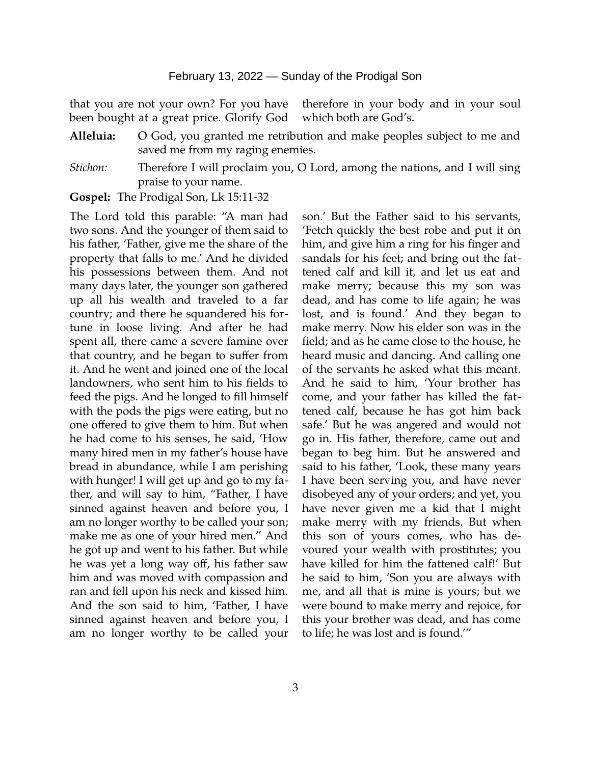that you are not your own? For you have been bought at a great price. Glorify God therefore in your body and in your soul which both are God's.

- **Alleluia:** O God, you granted me retribution and make peoples subject to me and saved me from my raging enemies.
- *Stichon:* Therefore I will proclaim you, O Lord, among the nations, and I will sing praise to your name.

**Gospel:** The Prodigal Son, Lk 15:11-32

The Lord told this parable: "A man had two sons. And the younger of them said to his father, 'Father, give me the share of the property that falls to me.' And he divided his possessions between them. And not many days later, the younger son gathered up all his wealth and traveled to a far country; and there he squandered his fortune in loose living. And after he had spent all, there came a severe famine over that country, and he began to suffer from it. And he went and joined one of the local landowners, who sent him to his fields to feed the pigs. And he longed to fill himself with the pods the pigs were eating, but no one offered to give them to him. But when he had come to his senses, he said, 'How many hired men in my father's house have bread in abundance, while I am perishing with hunger! I will get up and go to my father, and will say to him, "Father, I have sinned against heaven and before you, I am no longer worthy to be called your son; make me as one of your hired men." And he got up and went to his father. But while he was yet a long way off, his father saw him and was moved with compassion and ran and fell upon his neck and kissed him. And the son said to him, 'Father, I have sinned against heaven and before you, I am no longer worthy to be called your son.' But the Father said to his servants, 'Fetch quickly the best robe and put it on him, and give him a ring for his finger and sandals for his feet; and bring out the fattened calf and kill it, and let us eat and make merry; because this my son was dead, and has come to life again; he was lost, and is found.' And they began to make merry. Now his elder son was in the field; and as he came close to the house, he heard music and dancing. And calling one of the servants he asked what this meant. And he said to him, 'Your brother has come, and your father has killed the fattened calf, because he has got him back safe.' But he was angered and would not go in. His father, therefore, came out and began to beg him. But he answered and said to his father, 'Look, these many years I have been serving you, and have never disobeyed any of your orders; and yet, you have never given me a kid that I might make merry with my friends. But when this son of yours comes, who has devoured your wealth with prostitutes; you have killed for him the fattened calf!' But he said to him, 'Son you are always with me, and all that is mine is yours; but we were bound to make merry and rejoice, for this your brother was dead, and has come to life; he was lost and is found.'"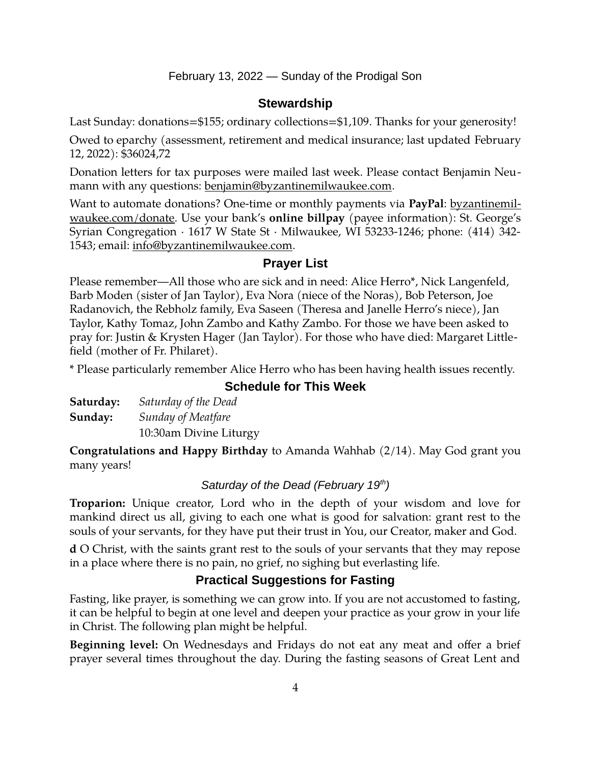#### **Stewardship**

Last Sunday: donations=\$155; ordinary collections=\$1,109. Thanks for your generosity!

Owed to eparchy (assessment, retirement and medical insurance; last updated February 12, 2022): \$36024,72

Donation letters for tax purposes were mailed last week. Please contact Benjamin Neumann with any questions: [benjamin@byzantinemilwaukee.com](mailto:benjamin@byzantinemilwaukee.com).

Want to automate donations? One-time or monthly payments via **PayPal**: [byzantinemil](https://byzantinemilwaukee.com/donate/)[waukee.com/donate.](https://byzantinemilwaukee.com/donate/) Use your bank's **online billpay** (payee information): St. George's Syrian Congregation · 1617 W State St · Milwaukee, WI 53233-1246; phone: (414) 342- 1543; email: [info@byzantinemilwaukee.com](mailto:info@byzantinemilwaukee.com).

#### **Prayer List**

Please remember—All those who are sick and in need: Alice Herro\*, Nick Langenfeld, Barb Moden (sister of Jan Taylor), Eva Nora (niece of the Noras), Bob Peterson, Joe Radanovich, the Rebholz family, Eva Saseen (Theresa and Janelle Herro's niece), Jan Taylor, Kathy Tomaz, John Zambo and Kathy Zambo. For those we have been asked to pray for: Justin & Krysten Hager (Jan Taylor). For those who have died: Margaret Littlefield (mother of Fr. Philaret).

\* Please particularly remember Alice Herro who has been having health issues recently.

# **Schedule for This Week**

| Saturday: | Saturday of the Dead   |
|-----------|------------------------|
| Sunday:   | Sunday of Meatfare     |
|           | 10:30am Divine Liturgy |

**Congratulations and Happy Birthday** to Amanda Wahhab (2/14). May God grant you many years!

#### *Saturday of the Dead (February 19th)*

**Troparion:** Unique creator, Lord who in the depth of your wisdom and love for mankind direct us all, giving to each one what is good for salvation: grant rest to the souls of your servants, for they have put their trust in You, our Creator, maker and God.

**d** O Christ, with the saints grant rest to the souls of your servants that they may repose in a place where there is no pain, no grief, no sighing but everlasting life.

## **Practical Suggestions for Fasting**

Fasting, like prayer, is something we can grow into. If you are not accustomed to fasting, it can be helpful to begin at one level and deepen your practice as your grow in your life in Christ. The following plan might be helpful.

**Beginning level:** On Wednesdays and Fridays do not eat any meat and offer a brief prayer several times throughout the day. During the fasting seasons of Great Lent and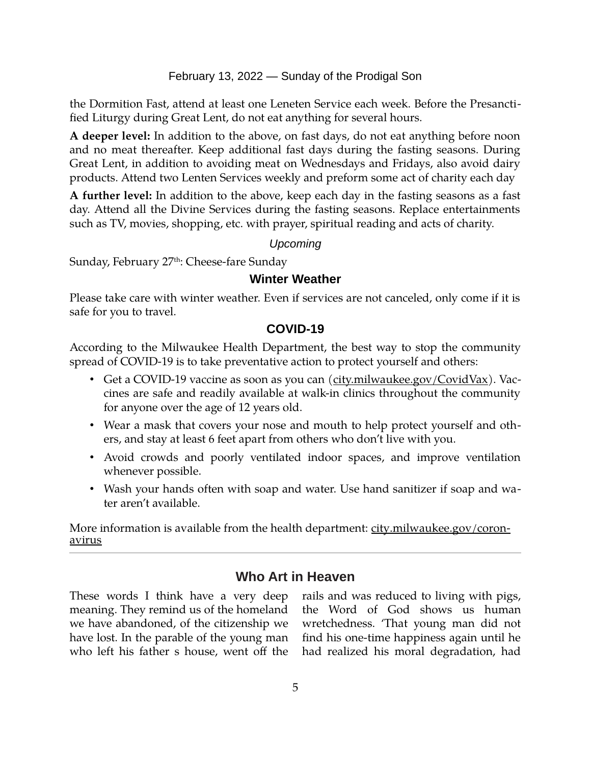the Dormition Fast, attend at least one Leneten Service each week. Before the Presanctified Liturgy during Great Lent, do not eat anything for several hours.

**A deeper level:** In addition to the above, on fast days, do not eat anything before noon and no meat thereafter. Keep additional fast days during the fasting seasons. During Great Lent, in addition to avoiding meat on Wednesdays and Fridays, also avoid dairy products. Attend two Lenten Services weekly and preform some act of charity each day

**A further level:** In addition to the above, keep each day in the fasting seasons as a fast day. Attend all the Divine Services during the fasting seasons. Replace entertainments such as TV, movies, shopping, etc. with prayer, spiritual reading and acts of charity.

*Upcoming*

Sunday, February 27<sup>th</sup>: Cheese-fare Sunday

## **Winter Weather**

Please take care with winter weather. Even if services are not canceled, only come if it is safe for you to travel.

#### **[COVID-19](mailto:j1ordan2000@yahoo.com)**

According to the Milwaukee Health Department, the best way to stop the community spread of COVID-19 is to take preventative action to protect yourself and others:

- Get a COVID-19 vaccine as soon as you can [\(city.milwaukee.gov/CovidVax\)](https://city.milwaukee.gov/CovidVax). Vaccines are safe and readily available at walk-in clinics throughout the community for anyone over the age of 12 years old.
- Wear a mask that covers your nose and mouth to help protect yourself and others, and stay at least 6 feet apart from others who don't live with you.
- Avoid crowds and poorly ventilated indoor spaces, and improve ventilation whenever possible.
- Wash your hands often with soap and water. Use hand sanitizer if soap and water aren't available.

More information is available from the health department: [city.milwaukee.gov/coron](https://city.milwaukee.gov/coronavirus)[avirus](https://city.milwaukee.gov/coronavirus)

# **Who Art in Heaven**

These words I think have a very deep meaning. They remind us of the homeland we have abandoned, of the citizenship we have lost. In the parable of the young man who left his father s house, went off the rails and was reduced to living with pigs, the Word of God shows us human wretchedness. 'That young man did not find his one-time happiness again until he had realized his moral degradation, had